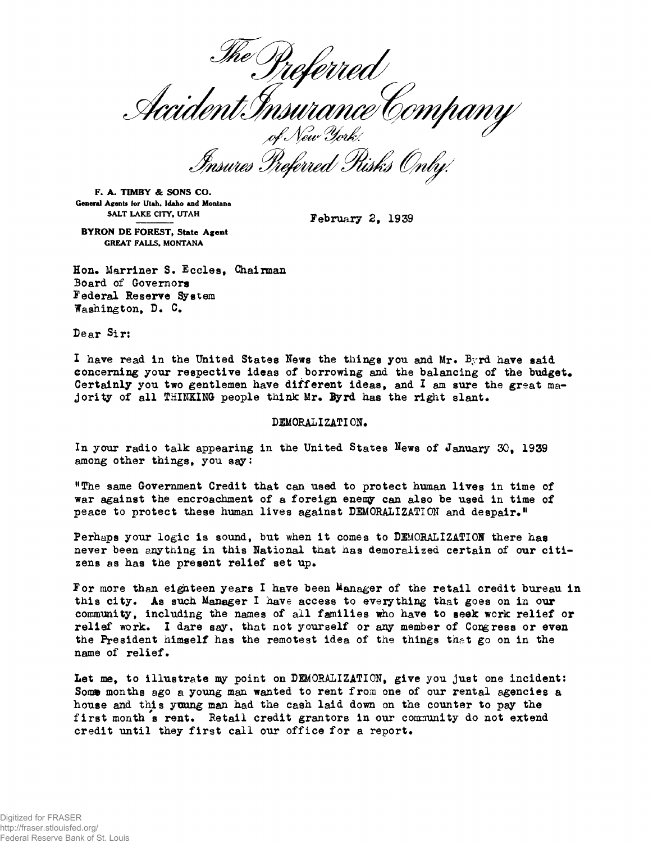referred I deferred<br>Accident Insurance Company<br>Insures Preferred Risks Only!

**F. A. TIMBY & SONS CO. General Agents for Utah, Idaho and Montana SALT LAKE CITY, UTAH February 2, 1939**

**BYRON DE FOREST, State Agent**

**GREAT FALLS, MONTANA**

**Hon. Marriner S. Eccles, Chairman Board of Governors Federal Reserve System Washington, D. C#**

**Dear Sir:**

**I have read in the United States News the tilings you and Mr\* Byrd have said concerning your respective ideas of borrowing and the balancing of the budget# Certainly you two gentlemen have different ideas, and I am sure the great majority of all THINKING people think Mr. 3yrd has the right slant\***

## **DEMORALIZATION.**

**In your radio talk appearing in the United States News of January 30, 1939** among other things, you say:

**"The same Government Credit that can used to protect human lives in time of war against the encroachment of a foreign enemy can also be used in time of peace to protect these human lives against DEMORALIZATION and despair.<sup>11</sup>**

**Perhaps your logic is sound, but when it comes to DEMORALIZATION there has never been anything in this National that has demoralized certain of our citi**zens as has the present relief set up.

**For more than eighteen years I have been Manager of the retail credit bureau in this city. As such Manager I have access to everything that goes on in our community, including the names of all families who have to seek work relief or** relief work. I dare say, that not yourself or any member of Congress or even **the President himself has the remotest idea of the things that go on in the name of relief.**

**Let me, to illustrate w point on DEMORALIZATION, give you just one incident:** Some months ago a young man wanted to rent from one of our rental agencies a **house and this young man had the cash laid down on the counter to pay the first month s rent. Retail credit grantors in our community do not extend credit until they first call our office for a report.**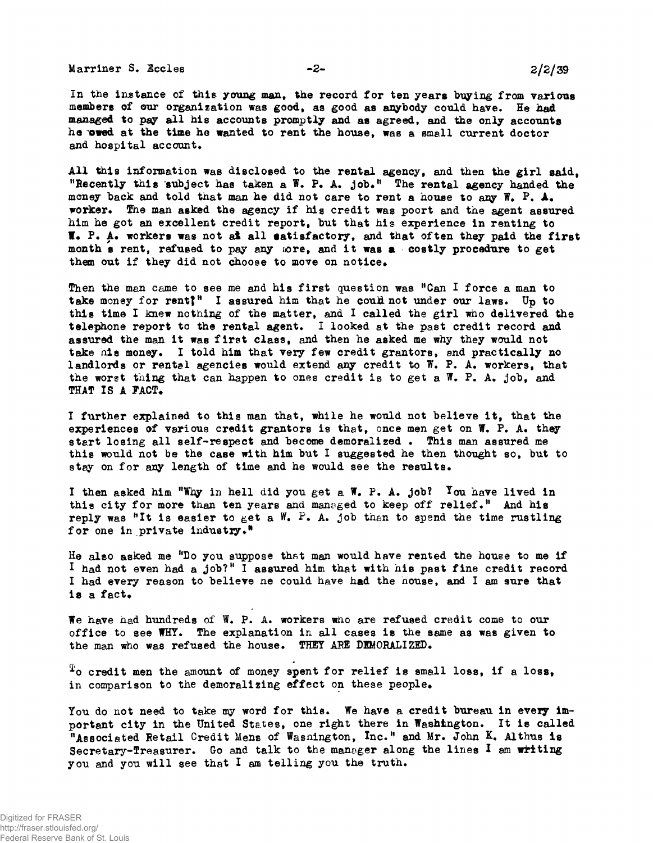**Marriner S. Eccles** -2- 2/2/39

**In the instance of this young man, toe record for ten years buying from various** members of our organization was good, as good as anybody could have. He had **managed to pay all his accounts promptly and as agreed, and the only accounts he owed at the time he wanted to rent the house, was a small current doctor and hospital account.**

**All this information was disclosed to the rental agency, and then the girl said, "Recently this subject has taken a W. F» A\* job.<sup>11</sup> The rental agency handed the money back and told that man he did not care to rent a house to any W# F, A. worker, fhe man asked the agency if his credit was poort and the agent assured him he got an excellent credit report, but that his experience in renting to I\* P. A. workers was not at all satisfactory, and that often they paid the first month s rent, refused to pay any rare, and it was a costly procedure to get** them out if they did not choose to move on notice.

**Then the man came to see me and his first question was <sup>H</sup>Can I force a man to** take money for rent?<sup>*M*</sup> I assured him that he could not under our laws. Up to **this time I knew nothing of the matter, and I called the girl who delivered the** telephone report to the rental agent. I looked at the past credit record and **assured the man it was first class, and then he asked me why they would not take his money. I told him that very few credit grantors, and practically no** landlords or rental agencies would extend any credit to W. P. A. workers, that **the worst thing that can happen to ones credit is to get a W. P. A. job, and** THAT IS A FACT.

**I further explained to this man that, while he would not believe it, that the experiences of various credit grantors is that, once men get on W. P. A. they start losing all self-respect and become demoralized • This man assured me this would not be the case with him but I suggested he then thought so, but to stay on for any length of time and he would see the results.**

I then asked him "Why in hell did you get a W. P. A. job? You have lived in this city for more than ten years and managed to keep off relief." And his reply was "It is easier to get a W. P. A. job than to spend the time rustling **for one in private industry.<sup>11</sup>**

**He also asked me "Do you suppose that man would have rented the house to me if I had not even had a job?<sup>11</sup> I assured him that with nis past fine credit record I had every reason to believe ne could have had the house, and I am sure that is a fact.**

We have had hundreds of W. P. A. workers who are refused credit come to our **office to see WHY. The explanation in all cases is the same as was given to** the man who was refused the house. THEY ARE DEMORALIZED.

**^o credit men the amount of money spent for relief is small loss, if a loss<sup>t</sup>** in comparison to the demoralizing effect on these people.

You do not need to take my word for this. We have a credit bureau in every im**portant city in the United States, one right there in Washington. It is called "Associated Retail Credit Mens of Wasnington, Inc.<sup>11</sup> and Mr. John K. Althus is Secretary-Treasurer. Go and talk to the manager along the lines I am writing you and you will see that I am telling you the truth.**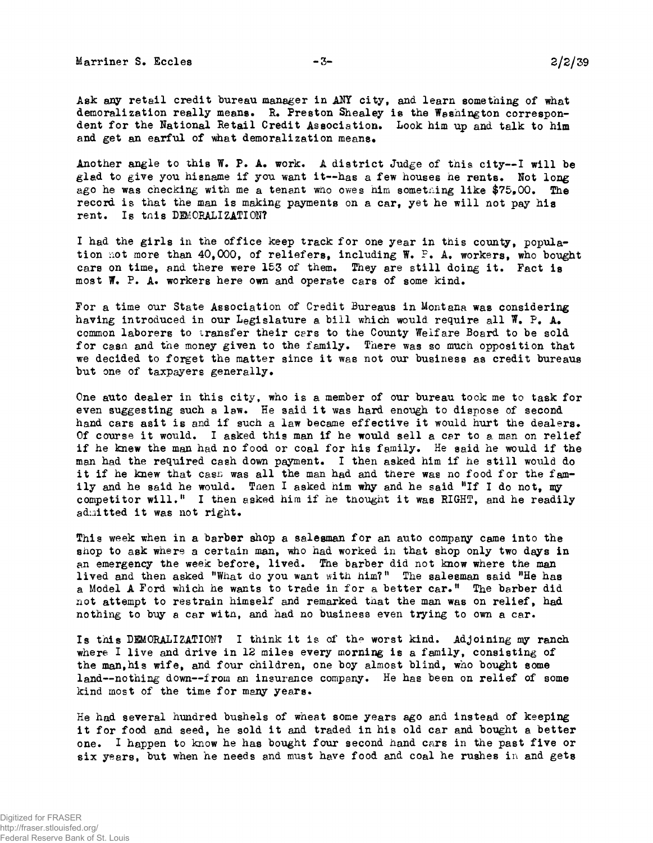Marriner S. Eccles -3- 22/29

Ask any retail credit bureau manager in ANY city, and learn something of what demoralization really means. R. Preston Shealey is the Washington correspondent for the Hational Retail Credit Association. Look him up and talk to him and get an earful of what demoralization means.

Another angle to this W. P. A. work. A district Judge of this city--I will be glad to give you hisname if you want it—has a few houses he rents. Not long ago he was checking with me a tenant who owes him something like  $$75,00$ . The record is that the man is making payments on a car, yet he will not pay his rent. Is tnis DEMORALIZATION?

I had the girls in the office keep track for one year in this county, population not more than 40,000, of reliefers, including W. P. A. workers, who bought cars on time, and there were 153 of them. They are still doing it. Fact is most W. P. A. workers here own and operate cars of some kind.

For a time our State Association of Credit Bureaus in Montana was considering having introduced in our Legislature a bill which would require all  $\Psi$ . P. A. common laborers to transfer their cars to the County Welfare Board to be sold for casn and the money given to the family. There was so much opposition that we decided to forget the matter since it was not our business as credit bureaus but one of taxpayers generally.

One auto dealer in this city, who is a member of our bureau took me to task for even suggesting such a law. He said it was hard enough to dispose of second hand cars asit is and if such a law became effective it would hurt the dealers. Of course it would. I asked this man if he would sell a car to a man on relief if he knew the man had no food or coal for his family. He said he would if the man had the required cash down payment. I then asked him if he still would do it if he knew that cash was all the man had and there was no food for the family and he said he would. Then I asked him why and he said "If I do not, my competitor will.<sup>#</sup> I then asked him if he tnought it was RIGHT, and he readily admitted it was not right.

This week when in a barber shop a salesman for an auto company came into the shop to ask where a certain man, who had worked in that shop only two days in an emergency the week before, lived. The barber did not know where the man lived and then asked "What do you want with him?" The salesman said "He has a Model A Ford which he wants to trade in for a better car." The barber did not attempt to restrain himself and remarked that the man was on relief, had nothing to buy a car witn, and had no business even trying to own a car.

Is this DBMORALIZATIONT I think it is of the worst kind. Adjoining my ranch where I live and drive in 12 miles every morning is a family, consisting of the man,his wife, and four children, one boy almost blind, who bought some land--nothing down—from an insurance company. He has been on relief of some kind most of the time for many years.

He had several hundred bushels of wheat some years ago and instead of keeping it for food and seed, he sold it and traded in his old car and bought a better one. I happen to know he has bought four second hand cars in the past five or six years, but when he needs and must have food and coal he rushes in and gets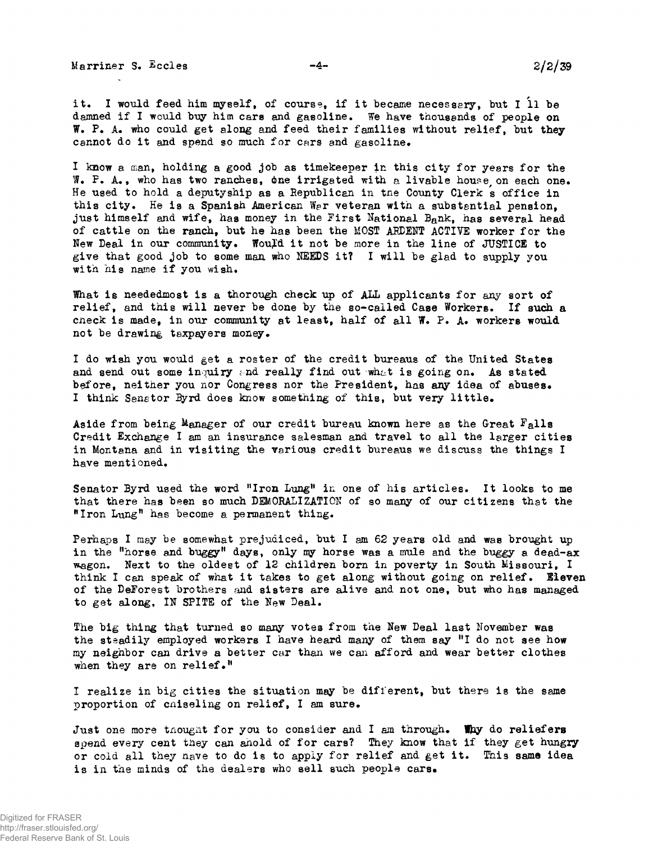Marriner S. Eccles  $-4 -4-$  2/2/39

it. I would feed him myself, of course, if it became necessary, but I 11 be damned if I would buy him cars and gasoline. We have thousands of people on W. P. A. who could get along and feed their families without relief, but they cannot do it and spend so much for cars and gasoline.

I know a man, holding a good job as timekeeper in this city for years for the  $\mathbb{F}_{\bullet}$  P. A., who has two ranches, one irrigated with a livable house on each one. He used to hold a deputyship as a Eepublican in tne County Clerk s office in this city. He is a Spanish American War veteran with a substantial pension. just himself and wife, has money in the First National Bank, has several head of cattle on the ranch, but he has been the MOST AEDBKT ACTIVE worker for the New Deal in our community. Wou£d it not be more in the line of JUSTICE to give that good job to some man who NEEDS it? I will be glad to supply you with his name if you wish.

What is neededmost is a thorough check up of ALL applicants for any sort of relief, and this will never be done by the so-called Case Workers. If such a cneck is made, in our community at least, half of all W. P. A. workers would not be drawing taxpayers money.

I do wish you would get a roster of the credit bureaus of the United States and send out some inquiry and really find out what is going on. As stated before, neither you nor Congress nor the President, has any idea of abuses. I think Senator Byrd does know something of this, but very little.

Aside from being Manager of our credit bureau known here as the Great  $F_{\mathbf{a}}$ lls Credit Exchange I am an insurance salesman and travel to all the larger cities in Montana and in visiting the various credit bureaus we discuss the things I have mentioned.

Senator Byrd used the word "Iron Lung" in one of his articles. It looks to me that there has been so much DEMORALIZATION of so many of our citizens that the "Iron Lung" has become a permanent thing.

Perhaps I may be somewhat prejudiced, but I am 62 years old and was brought up in the "horse and buggy" days, only my horse was a mule and the buggy a dead-ax wagon. Next to the oldest of 12 children born in poverty in South Missouri, I think I can speak of what it takes to get along without going on relief. Eleven of the DeForest brothers and sisters are alive and not one, but who has managed to get along, IN SPITE of the New Deal.

The big thing that turned so many votes from the Hew Deal last November was the steadily employed workers I have heard many of them say "I do not see how my neighbor can drive a better car than we can afford and wear better clothes when they are on relief.<sup>11</sup>

I realize in big cities the situation may be different, but there is the same proportion of cniseling on relief, I am sure.

Just one more thought for you to consider and I am through. Thy do reliefers spend every cent they can ahold of for cars? They know that if they get hungry or cold all they nave to do is to apply for relief and get it. This same idea is in the minds of the dealers who sell such people cars.